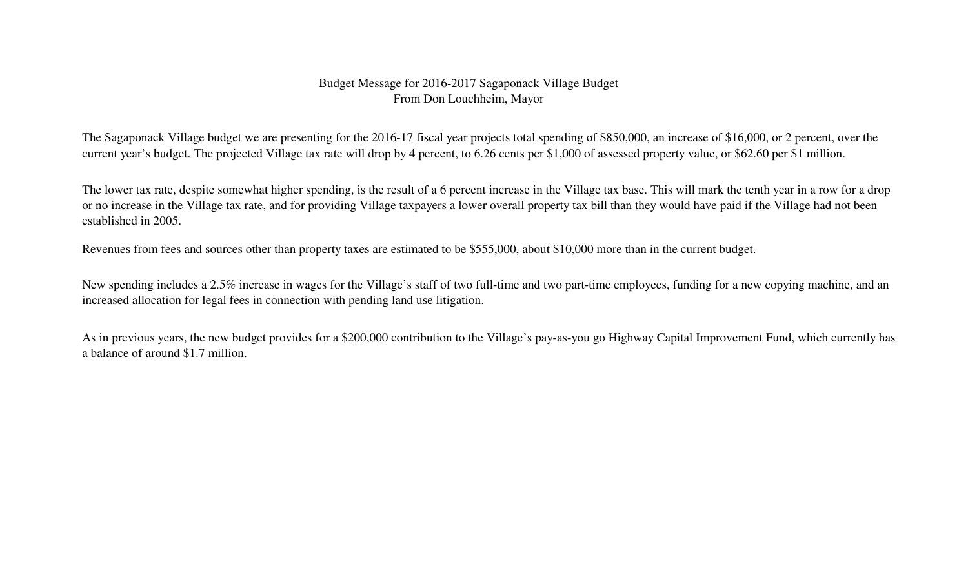#### Budget Message for 2016-2017 Sagaponack Village BudgetFrom Don Louchheim, Mayor

The Sagaponack Village budget we are presenting for the 2016-17 fiscal year projects total spending of \$850,000, an increase of \$16,000, or 2 percent, over the current year's budget. The projected Village tax rate will drop by 4 percent, to 6.26 cents per \$1,000 of assessed property value, or \$62.60 per \$1 million.

The lower tax rate, despite somewhat higher spending, is the result of a 6 percent increase in the Village tax base. This will mark the tenth year in a row for a drop or no increase in the Village tax rate, and for providing Village taxpayers a lower overall property tax bill than they would have paid if the Village had not been established in 2005.

Revenues from fees and sources other than property taxes are estimated to be \$555,000, about \$10,000 more than in the current budget.

New spending includes a 2.5% increase in wages for the Village's staff of two full-time and two part-time employees, funding for a new copying machine, and an increased allocation for legal fees in connection with pending land use litigation.

As in previous years, the new budget provides for a \$200,000 contribution to the Village's pay-as-you go Highway Capital Improvement Fund, which currently has a balance of around \$1.7 million.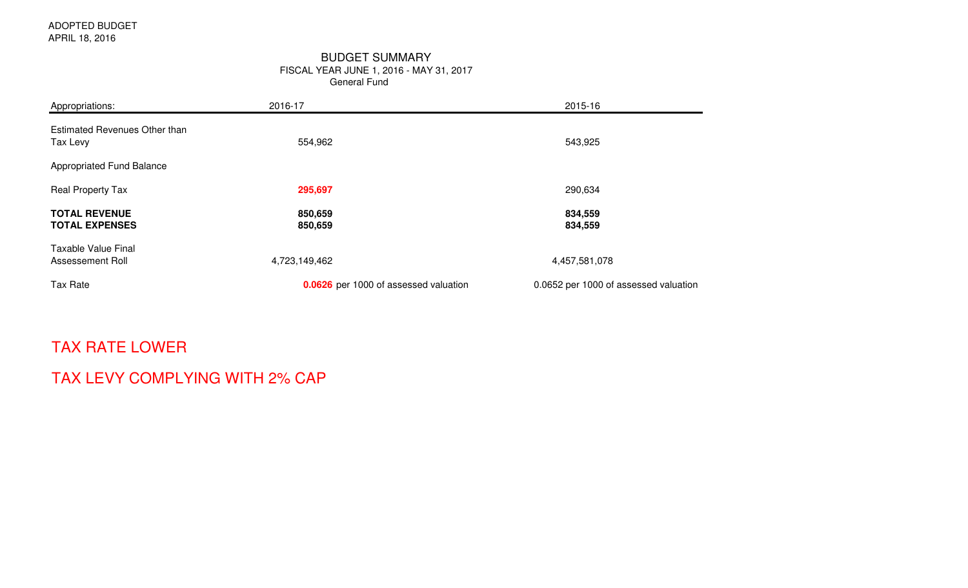#### General FundBUDGET SUMMARYFISCAL YEAR JUNE 1, 2016 - MAY 31, 2017

| Appropriations:                                | 2016-17                               | 2015-16                               |  |  |  |  |  |  |
|------------------------------------------------|---------------------------------------|---------------------------------------|--|--|--|--|--|--|
| Estimated Revenues Other than<br>Tax Levy      | 554,962                               | 543,925                               |  |  |  |  |  |  |
| Appropriated Fund Balance                      |                                       |                                       |  |  |  |  |  |  |
| <b>Real Property Tax</b>                       | 295,697                               | 290,634                               |  |  |  |  |  |  |
| <b>TOTAL REVENUE</b><br><b>TOTAL EXPENSES</b>  | 850,659<br>850,659                    | 834,559<br>834,559                    |  |  |  |  |  |  |
| <b>Taxable Value Final</b><br>Assessement Roll | 4,723,149,462                         | 4,457,581,078                         |  |  |  |  |  |  |
| Tax Rate                                       | 0.0626 per 1000 of assessed valuation | 0.0652 per 1000 of assessed valuation |  |  |  |  |  |  |

## TAX RATE LOWER

## TAX LEVY COMPLYING WITH 2% CAP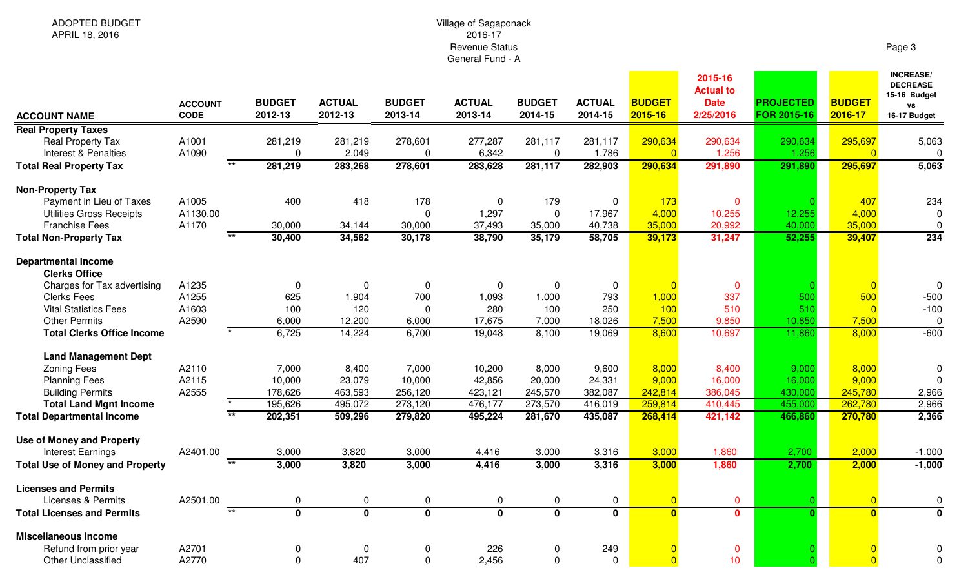# Village of Sagaponack 2016-17 Revenue StatusGeneral Fund - A

Page 3

| <b>ACCOUNT NAME</b>                                | <b>ACCOUNT</b><br><b>CODE</b> | <b>BUDGET</b><br>2012-13 | <b>ACTUAL</b><br>2012-13 | <b>BUDGET</b><br>2013-14 | <b>ACTUAL</b><br>2013-14 | <b>BUDGET</b><br>2014-15 | <b>ACTUAL</b><br>2014-15 | <b>BUDGET</b><br>2015-16  | 2015-16<br><b>Actual to</b><br><b>Date</b><br>2/25/2016 | <b>PROJECTED</b><br>FOR 2015-16 | <b>BUDGET</b><br>2016-17 | <b>INCREASE/</b><br><b>DECREASE</b><br>15-16 Budget<br><b>VS</b><br>16-17 Budget |
|----------------------------------------------------|-------------------------------|--------------------------|--------------------------|--------------------------|--------------------------|--------------------------|--------------------------|---------------------------|---------------------------------------------------------|---------------------------------|--------------------------|----------------------------------------------------------------------------------|
| <b>Real Property Taxes</b>                         |                               |                          |                          |                          |                          |                          |                          |                           |                                                         |                                 |                          |                                                                                  |
| <b>Real Property Tax</b><br>Interest & Penalties   | A1001<br>A1090                | 281,219<br>0             | 281,219<br>2,049         | 278,601<br>0             | 277,287<br>6,342         | 281,117<br>$\mathbf 0$   | 281,117<br>1,786         | 290,634<br>$\overline{0}$ | 290,634<br>1,256                                        | 290,634<br>1,256                | 295,697<br>$\Omega$      | 5,063<br>$\pmb{0}$                                                               |
| <b>Total Real Property Tax</b>                     |                               | 281,219                  | 283,268                  | 278,601                  | 283,628                  | 281,117                  | 282,903                  | 290,634                   | 291,890                                                 | 291,890                         | 295,697                  | 5,063                                                                            |
| <b>Non-Property Tax</b>                            |                               |                          |                          |                          |                          |                          |                          |                           |                                                         |                                 |                          |                                                                                  |
| Payment in Lieu of Taxes                           | A1005                         | 400                      | 418                      | 178                      | $\mathbf 0$              | 179                      | $\mathbf 0$              | 173                       | $\mathbf 0$                                             |                                 | 407                      | 234                                                                              |
| <b>Utilities Gross Receipts</b>                    | A1130.00                      |                          |                          | $\Omega$                 | 1,297                    | $\mathbf 0$              | 17,967                   | 4,000                     | 10,255                                                  | 12,255                          | 4,000                    | $\mathbf 0$                                                                      |
| <b>Franchise Fees</b>                              | A1170                         | 30,000                   | 34,144                   | 30,000                   | 37,493                   | 35,000                   | 40,738                   | 35,000                    | 20,992                                                  | 40,000                          | 35,000                   | 0                                                                                |
| <b>Total Non-Property Tax</b>                      |                               | 30,400                   | 34,562                   | 30,178                   | 38,790                   | 35,179                   | 58,705                   | 39,173                    | 31,247                                                  | 52,255                          | 39,407                   | 234                                                                              |
| <b>Departmental Income</b><br><b>Clerks Office</b> |                               |                          |                          |                          |                          |                          |                          |                           |                                                         |                                 |                          |                                                                                  |
| Charges for Tax advertising                        | A1235                         | 0                        | 0                        | $\mathbf 0$              | $\mathbf 0$              | $\mathbf 0$              | 0                        |                           | $\mathbf 0$                                             |                                 | $\overline{0}$           | $\Omega$                                                                         |
| <b>Clerks Fees</b>                                 | A1255                         | 625                      | 1,904                    | 700                      | 1,093                    | 1,000                    | 793                      | 1,000                     | 337                                                     | 500                             | 500                      | $-500$                                                                           |
| <b>Vital Statistics Fees</b>                       | A1603                         | 100                      | 120                      | 0                        | 280                      | 100                      | 250                      | 100                       | 510                                                     | 510                             | $\overline{0}$           | $-100$                                                                           |
| <b>Other Permits</b>                               | A2590                         | 6,000                    | 12,200                   | 6,000                    | 17,675                   | 7,000                    | 18,026                   | 7,500                     | 9,850                                                   | 10,850                          | 7,500                    | $\pmb{0}$                                                                        |
| <b>Total Clerks Office Income</b>                  |                               | 6,725                    | 14,224                   | 6,700                    | 19,048                   | 8,100                    | 19,069                   | 8,600                     | 10,697                                                  | 11,860                          | 8,000                    | $-600$                                                                           |
| <b>Land Management Dept</b>                        |                               |                          |                          |                          |                          |                          |                          |                           |                                                         |                                 |                          |                                                                                  |
| <b>Zoning Fees</b>                                 | A2110                         | 7,000                    | 8,400                    | 7,000                    | 10,200                   | 8,000                    | 9,600                    | 8,000                     | 8,400                                                   | 9,000                           | 8,000                    | 0                                                                                |
| <b>Planning Fees</b>                               | A2115                         | 10,000                   | 23,079                   | 10,000                   | 42,856                   | 20,000                   | 24,331                   | 9,000                     | 16,000                                                  | 16,000                          | 9,000                    | $\Omega$                                                                         |
| <b>Building Permits</b>                            | A2555                         | 178,626                  | 463,593                  | 256,120                  | 423,121                  | 245,570                  | 382,087                  | 242,814                   | 386,045                                                 | 430,000                         | 245,780                  | 2,966                                                                            |
| <b>Total Land Mgnt Income</b>                      |                               | 195,626                  | 495,072                  | 273,120                  | 476,177                  | 273,570                  | 416,019                  | 259,814                   | 410,445                                                 | 455,000                         | 262,780                  | 2,966                                                                            |
| <b>Total Departmental Income</b>                   | $\star\star$                  | 202,351                  | 509,296                  | 279,820                  | 495,224                  | 281,670                  | 435,087                  | 268,414                   | 421,142                                                 | 466,860                         | 270,780                  | 2,366                                                                            |
| <b>Use of Money and Property</b>                   |                               |                          |                          |                          |                          |                          |                          |                           |                                                         |                                 |                          |                                                                                  |
| <b>Interest Earnings</b>                           | A2401.00                      | 3,000                    | 3,820                    | 3,000                    | 4,416                    | 3,000                    | 3,316                    | 3,000                     | 1,860                                                   | 2,700                           | 2,000                    | $-1,000$                                                                         |
| <b>Total Use of Money and Property</b>             | $\overline{**}$               | 3,000                    | 3,820                    | 3,000                    | 4,416                    | 3,000                    | 3,316                    | 3,000                     | 1,860                                                   | 2,700                           | 2,000                    | $-1,000$                                                                         |
| <b>Licenses and Permits</b>                        |                               |                          |                          |                          |                          |                          |                          |                           |                                                         |                                 |                          |                                                                                  |
| <b>Licenses &amp; Permits</b>                      | A2501.00<br>$\overline{**}$   | 0                        | 0                        | $\mathbf 0$              | $\mathbf 0$              | 0                        | $\mathbf 0$              | $\overline{0}$            | $\mathbf{0}$                                            | $\Omega$                        | $\overline{0}$           | 0                                                                                |
| <b>Total Licenses and Permits</b>                  |                               | $\overline{\mathbf{0}}$  | $\overline{\mathbf{0}}$  | $\overline{\mathbf{0}}$  | $\overline{\mathbf{0}}$  | $\overline{\mathbf{0}}$  | $\overline{\mathbf{0}}$  | $\overline{0}$            | $\mathbf{0}$                                            | $\Omega$                        | $\overline{\mathbf{0}}$  | $\overline{\mathbf{0}}$                                                          |
| <b>Miscellaneous Income</b>                        |                               |                          |                          |                          |                          |                          |                          |                           |                                                         |                                 |                          |                                                                                  |
| Refund from prior year                             | A2701                         | 0                        | $\mathbf 0$              | $\mathbf 0$              | 226                      | 0                        | 249                      |                           | $\mathbf 0$                                             |                                 | $\overline{0}$           |                                                                                  |
| <b>Other Unclassified</b>                          | A2770                         | 0                        | 407                      | $\Omega$                 | 2,456                    | $\Omega$                 | 0                        |                           | 10                                                      |                                 | $\overline{0}$           | 0                                                                                |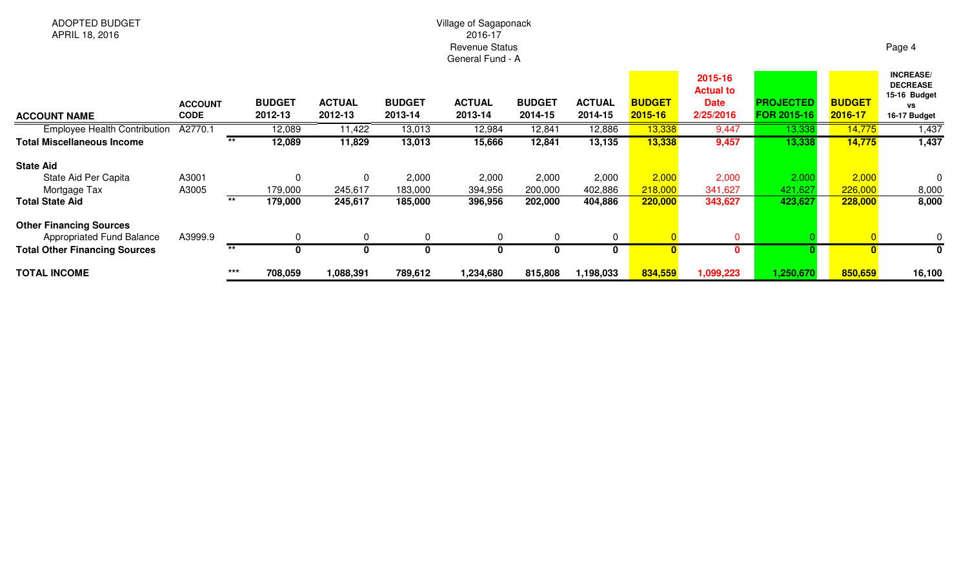# Village of Sagaponack 2016-17 Revenue StatusGeneral Fund - A

| <b>ACCOUNT NAME</b>                                         | <b>ACCOUNT</b><br><b>CODE</b> |       | <b>BUDGET</b><br>2012-13 | <b>ACTUAL</b><br>2012-13 | <b>BUDGET</b><br>2013-14 | <b>ACTUAL</b><br>2013-14 | <b>BUDGET</b><br>2014-15 | <b>ACTUAL</b><br>2014-15 | <b>BUDGET</b><br>$2015 - 16$ | 2015-16<br><b>Actual to</b><br><b>Date</b><br>2/25/2016 | <b>PROJECTED</b><br>FOR 2015-16 | <b>BUDGET</b><br>2016-17 | <b>INCREASE/</b><br><b>DECREASE</b><br>15-16 Budget<br>٧S<br>16-17 Budget |
|-------------------------------------------------------------|-------------------------------|-------|--------------------------|--------------------------|--------------------------|--------------------------|--------------------------|--------------------------|------------------------------|---------------------------------------------------------|---------------------------------|--------------------------|---------------------------------------------------------------------------|
| <b>Employee Health Contribution</b>                         | A2770.1                       |       | 12,089                   | 11,422                   | 13,013                   | 12,984                   | 12,841                   | 12,886                   | 13,338                       | 9,447                                                   | 13,338                          | 14,775                   | 1,437                                                                     |
| <b>Total Miscellaneous Income</b>                           |                               | $***$ | 12,089                   | 11,829                   | 13,013                   | 15,666                   | 12,841                   | 13,135                   | 13,338                       | 9,457                                                   | 13,338                          | 14,775                   | 1,437                                                                     |
| <b>State Aid</b>                                            |                               |       |                          |                          |                          |                          |                          |                          |                              |                                                         |                                 |                          |                                                                           |
| State Aid Per Capita                                        | A3001                         |       |                          | $\Omega$                 | 2,000                    | 2,000                    | 2,000                    | 2,000                    | 2,000                        | 2,000                                                   | 2,000                           | 2,000                    | 0                                                                         |
| Mortgage Tax                                                | A3005                         |       | 179,000                  | 245,617                  | 183,000                  | 394,956                  | 200,000                  | 402,886                  | 218,000                      | 341,627                                                 | 421,627                         | 226,000                  | 8,000                                                                     |
| <b>Total State Aid</b>                                      |                               | $***$ | 179,000                  | 245,617                  | 185,000                  | 396,956                  | 202,000                  | 404,886                  | 220,000                      | 343,627                                                 | 423,627                         | 228,000                  | 8,000                                                                     |
| <b>Other Financing Sources</b><br>Appropriated Fund Balance | A3999.9                       |       |                          | $\Omega$                 | $\Omega$                 |                          | $\Omega$                 | 0                        |                              | $\mathbf{0}$                                            |                                 |                          | 0                                                                         |
| <b>Total Other Financing Sources</b>                        |                               | **    |                          |                          |                          |                          | 0                        |                          |                              | 0                                                       |                                 |                          | 0                                                                         |
| <b>TOTAL INCOME</b>                                         |                               | $***$ | 708,059                  | 1,088,391                | 789,612                  | 1,234,680                | 815,808                  | 1,198,033                | 834,559                      | 1,099,223                                               | 1,250,670                       | 850,659                  | 16,100                                                                    |

Page 4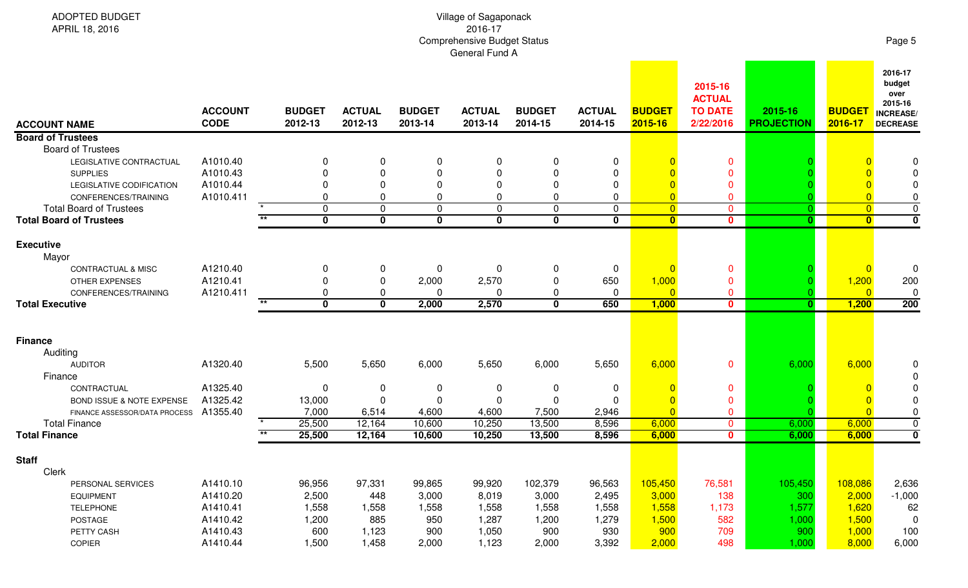| ADOPTED BUDGET<br>APRIL 18, 2016                                 | Village of Sagaponack<br>2016-17<br><b>Comprehensive Budget Status</b><br>General Fund A |  |                          |                            |                            |                            |                          |                             |                             |                                                         |                              |                             |                                                                            |  |
|------------------------------------------------------------------|------------------------------------------------------------------------------------------|--|--------------------------|----------------------------|----------------------------|----------------------------|--------------------------|-----------------------------|-----------------------------|---------------------------------------------------------|------------------------------|-----------------------------|----------------------------------------------------------------------------|--|
| <b>ACCOUNT NAME</b>                                              | <b>ACCOUNT</b><br><b>CODE</b>                                                            |  | <b>BUDGET</b><br>2012-13 | <b>ACTUAL</b><br>2012-13   | <b>BUDGET</b><br>2013-14   | <b>ACTUAL</b><br>2013-14   | <b>BUDGET</b><br>2014-15 | <b>ACTUAL</b><br>2014-15    | <b>BUDGET</b><br>2015-16    | 2015-16<br><b>ACTUAL</b><br><b>TO DATE</b><br>2/22/2016 | 2015-16<br><b>PROJECTION</b> | <b>BUDGET</b><br>2016-17    | 2016-17<br>budget<br>over<br>2015-16<br><b>INCREASE</b><br><b>DECREASE</b> |  |
| <b>Board of Trustees</b>                                         |                                                                                          |  |                          |                            |                            |                            |                          |                             |                             |                                                         |                              |                             |                                                                            |  |
| <b>Board of Trustees</b>                                         |                                                                                          |  |                          |                            |                            |                            |                          |                             |                             |                                                         |                              |                             |                                                                            |  |
| LEGISLATIVE CONTRACTUAL                                          | A1010.40                                                                                 |  |                          | 0                          | 0                          | 0                          | 0                        | 0                           |                             | $\mathbf 0$                                             |                              |                             |                                                                            |  |
| <b>SUPPLIES</b>                                                  | A1010.43                                                                                 |  |                          | 0                          | ∩                          | $\Omega$                   |                          | $\mathbf{0}$                |                             | $\Omega$                                                |                              |                             |                                                                            |  |
| LEGISLATIVE CODIFICATION                                         | A1010.44                                                                                 |  |                          | 0                          |                            | $\Omega$                   | 0                        | 0                           |                             | $\Omega$                                                |                              |                             |                                                                            |  |
| CONFERENCES/TRAINING                                             | A1010.411                                                                                |  |                          | 0                          | $\Omega$                   | 0                          | 0                        | 0                           | $\overline{0}$              | $\mathbf 0$                                             |                              |                             | $\mathbf 0$                                                                |  |
| <b>Total Board of Trustees</b><br><b>Total Board of Trustees</b> |                                                                                          |  | $\mathbf{0}$<br>$\bf{0}$ | $\mathbf 0$<br>$\mathbf 0$ | $\mathbf 0$<br>$\mathbf 0$ | $\mathbf 0$<br>$\mathbf 0$ | $\mathbf{0}$<br>$\bf{0}$ | $\mathbf 0$<br>$\mathbf{0}$ | $\overline{0}$<br>$\bullet$ | $\overline{0}$<br>$\mathbf{0}$                          | $\overline{0}$<br>0.         | $\overline{0}$<br>$\bullet$ | $\mathsf 0$<br>$\mathbf 0$                                                 |  |
|                                                                  |                                                                                          |  |                          |                            |                            |                            |                          |                             |                             |                                                         |                              |                             |                                                                            |  |
| <b>Executive</b><br>Mayor                                        |                                                                                          |  |                          |                            |                            |                            |                          |                             |                             |                                                         |                              |                             |                                                                            |  |
| CONTRACTUAL & MISC                                               | A1210.40                                                                                 |  | 0                        | 0                          | 0                          | 0                          | $\mathbf{0}$             | 0                           | $\Omega$                    | $\mathbf{0}$                                            |                              | $\overline{0}$              |                                                                            |  |
| <b>OTHER EXPENSES</b>                                            | A1210.41                                                                                 |  |                          | 0                          | 2,000                      | 2,570                      | 0                        | 650                         | 1,000                       | $\mathbf 0$                                             |                              | 1,200                       | 200                                                                        |  |
| CONFERENCES/TRAINING                                             | A1210.411                                                                                |  |                          | 0                          | $\Omega$                   | <sup>0</sup>               | 0                        | 0                           | $\Omega$                    | $\mathbf 0$                                             |                              | $\overline{0}$              | $\Omega$                                                                   |  |
| <b>Total Executive</b>                                           |                                                                                          |  | $\mathbf{0}$             | $\mathbf 0$                | 2,000                      | 2,570                      | $\bf{0}$                 | 650                         | 1,000                       | $\mathbf{0}$                                            |                              | 1,200                       | 200                                                                        |  |
|                                                                  |                                                                                          |  |                          |                            |                            |                            |                          |                             |                             |                                                         |                              |                             |                                                                            |  |
| <b>Finance</b>                                                   |                                                                                          |  |                          |                            |                            |                            |                          |                             |                             |                                                         |                              |                             |                                                                            |  |
| Auditing                                                         |                                                                                          |  |                          |                            |                            |                            |                          |                             |                             |                                                         |                              |                             |                                                                            |  |
| <b>AUDITOR</b>                                                   | A1320.40                                                                                 |  | 5,500                    | 5,650                      | 6,000                      | 5,650                      | 6,000                    | 5,650                       | 6,000                       | $\mathbf{0}$                                            | 6,000                        | 6,000                       |                                                                            |  |
| Finance                                                          |                                                                                          |  |                          |                            |                            |                            |                          |                             |                             |                                                         |                              |                             |                                                                            |  |
| CONTRACTUAL                                                      | A1325.40                                                                                 |  | $\Omega$                 | 0                          | $\boldsymbol{0}$           | 0                          | 0                        | 0                           |                             | $\mathbf 0$                                             |                              |                             |                                                                            |  |
| BOND ISSUE & NOTE EXPENSE                                        | A1325.42                                                                                 |  | 13,000                   | $\mathbf{0}$               | $\mathbf 0$                | $\Omega$                   | 0                        | $\Omega$                    | $\overline{0}$              | $\mathbf 0$                                             |                              |                             |                                                                            |  |
| FINANCE ASSESSOR/DATA PROCESS A1355.40                           |                                                                                          |  | 7,000                    | 6,514                      | 4,600                      | 4,600                      | 7,500                    | 2,946                       | $\overline{0}$              | $\mathbf 0$                                             |                              | $\overline{0}$              | 0                                                                          |  |
| <b>Total Finance</b>                                             |                                                                                          |  | 25,500                   | 12,164                     | 10,600                     | 10,250                     | 13,500                   | 8,596                       | 6,000                       | $\mathbf 0$                                             | 6,000                        | 6,000                       | $\pmb{0}$                                                                  |  |
| <b>Total Finance</b>                                             |                                                                                          |  | 25,500                   | 12,164                     | 10,600                     | 10,250                     | 13,500                   | 8,596                       | 6,000                       | $\mathbf{0}$                                            | 6,000                        | 6,000                       | $\bf{0}$                                                                   |  |
| <b>Staff</b>                                                     |                                                                                          |  |                          |                            |                            |                            |                          |                             |                             |                                                         |                              |                             |                                                                            |  |
| Clerk                                                            |                                                                                          |  |                          |                            |                            |                            |                          |                             |                             |                                                         |                              |                             |                                                                            |  |
| PERSONAL SERVICES                                                | A1410.10                                                                                 |  | 96,956                   | 97,331                     | 99,865                     | 99,920                     | 102,379                  | 96,563                      | 105,450                     | 76,581                                                  | 105,450                      | 108,086                     | 2,636                                                                      |  |
| <b>EQUIPMENT</b>                                                 | A1410.20                                                                                 |  | 2,500                    | 448                        | 3,000                      | 8,019                      | 3,000                    | 2,495                       | 3,000                       | 138                                                     | 300                          | 2,000                       | $-1,000$                                                                   |  |
| <b>TELEPHONE</b>                                                 | A1410.41                                                                                 |  | 1,558                    | 1,558                      | 1,558                      | 1,558                      | 1,558                    | 1,558                       | 1,558                       | 1,173                                                   | 1,577                        | 1,620                       | 62                                                                         |  |
| POSTAGE                                                          | A1410.42                                                                                 |  | 1,200                    | 885                        | 950                        | 1,287                      | 1,200                    | 1,279                       | 1,500                       | 582                                                     | 1,000                        | 1,500                       | 0                                                                          |  |
| PETTY CASH                                                       | A1410.43                                                                                 |  | 600                      | 1,123                      | 900                        | 1,050                      | 900                      | 930                         | 900                         | 709                                                     | 900                          | 1,000                       | 100                                                                        |  |
| COPIER                                                           | A1410.44                                                                                 |  | 1,500                    | 1,458                      | 2,000                      | 1,123                      | 2,000                    | 3,392                       | 2,000                       | 498                                                     | 1,000                        | 8,000                       | 6,000                                                                      |  |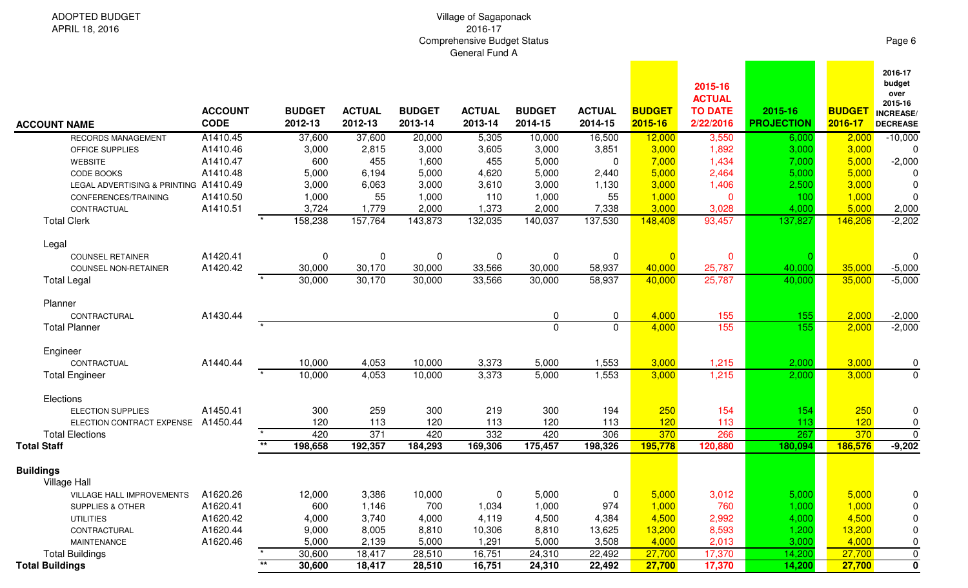## Village of Sagaponack 2016-17Comprehensive Budget Status General Fund A

ADOPTED BUDGETAPRIL 18, 2016

| <b>ACCOUNT NAME</b>                     | <b>ACCOUNT</b><br><b>CODE</b> |         | <b>BUDGET</b><br>2012-13 | <b>ACTUAL</b><br>2012-13 | <b>BUDGET</b><br>2013-14 | <b>ACTUAL</b><br>2013-14 | <b>BUDGET</b><br>2014-15 | <b>ACTUAL</b><br>2014-15 | <b>BUDGET</b><br>2015-16 | 2015-16<br><b>ACTUAL</b><br><b>TO DATE</b><br>2/22/2016 | 2015-16<br><b>PROJECTION</b> | <b>BUDGET</b><br>2016-17 | 2016-17<br>budget<br>over<br>2015-16<br><b>INCREASE</b><br><b>DECREASE</b> |
|-----------------------------------------|-------------------------------|---------|--------------------------|--------------------------|--------------------------|--------------------------|--------------------------|--------------------------|--------------------------|---------------------------------------------------------|------------------------------|--------------------------|----------------------------------------------------------------------------|
| RECORDS MANAGEMENT                      | A1410.45                      |         | 37,600                   | 37,600                   | 20,000                   | 5,305                    | 10,000                   | 16,500                   | 12,000                   | 3,550                                                   | 6,000                        | 2,000                    | $-10,000$                                                                  |
| OFFICE SUPPLIES                         | A1410.46                      |         | 3,000                    | 2,815                    | 3,000                    | 3,605                    | 3,000                    | 3,851                    | 3,000                    | 1,892                                                   | 3,000                        | 3,000                    | 0                                                                          |
| <b>WEBSITE</b>                          | A1410.47                      |         | 600                      | 455                      | 1,600                    | 455                      | 5,000                    | 0                        | 7,000                    | 1,434                                                   | 7,000                        | 5,000                    | $-2,000$                                                                   |
| CODE BOOKS                              | A1410.48                      |         | 5,000                    | 6,194                    | 5,000                    | 4,620                    | 5,000                    | 2,440                    | 5,000                    | 2,464                                                   | 5,000                        | 5,000                    | 0                                                                          |
| LEGAL ADVERTISING & PRINTING A1410.49   |                               |         | 3,000                    | 6,063                    | 3,000                    | 3,610                    | 3,000                    | 1,130                    | 3,000                    | 1,406                                                   | 2,500                        | 3,000                    | 0                                                                          |
| CONFERENCES/TRAINING                    | A1410.50                      |         | 1,000                    | 55                       | 1,000                    | 110                      | 1,000                    | 55                       | 1,000                    | $\mathbf{0}$                                            | 100                          | 1,000                    | 0                                                                          |
| CONTRACTUAL                             | A1410.51                      |         | 3,724                    | 1,779                    | 2,000                    | 1,373                    | 2,000                    | 7,338                    | 3,000                    | 3,028                                                   | 4,000                        | 5,000                    | 2,000                                                                      |
| <b>Total Clerk</b>                      |                               |         | 158,238                  | 157,764                  | 143,873                  | 132,035                  | 140,037                  | 137,530                  | 148,408                  | 93,457                                                  | 137,827                      | 146,206                  | $-2,202$                                                                   |
| Legal                                   |                               |         |                          |                          |                          |                          |                          |                          |                          |                                                         |                              |                          |                                                                            |
| <b>COUNSEL RETAINER</b>                 | A1420.41                      |         | 0                        | 0                        | 0                        | 0                        | 0                        | 0                        |                          | $\mathbf 0$                                             |                              |                          | $\Omega$                                                                   |
| COUNSEL NON-RETAINER                    | A1420.42                      |         | 30,000                   | 30,170                   | 30,000                   | 33,566                   | 30,000                   | 58,937                   | 40,000                   | 25,787                                                  | 40,000                       | 35,000                   | $-5,000$                                                                   |
| <b>Total Legal</b>                      |                               |         | 30,000                   | 30,170                   | 30,000                   | 33,566                   | 30,000                   | 58,937                   | 40,000                   | 25,787                                                  | 40,000                       | 35,000                   | $-5,000$                                                                   |
| Planner                                 |                               |         |                          |                          |                          |                          |                          |                          |                          |                                                         |                              |                          |                                                                            |
| CONTRACTURAL                            | A1430.44                      |         |                          |                          |                          |                          | 0                        | 0                        | 4,000                    | 155                                                     | 155                          | 2,000                    | $-2,000$                                                                   |
| <b>Total Planner</b>                    |                               | $\star$ |                          |                          |                          |                          | $\mathbf 0$              | $\Omega$                 | 4,000                    | 155                                                     | 155                          | 2,000                    | $-2,000$                                                                   |
| Engineer                                |                               |         |                          |                          |                          |                          |                          |                          |                          |                                                         |                              |                          |                                                                            |
| CONTRACTUAL                             | A1440.44                      |         | 10,000                   | 4,053                    | 10,000                   | 3,373                    | 5,000                    | 1,553                    | 3,000                    | 1,215                                                   | 2,000                        | 3,000                    | 0                                                                          |
| <b>Total Engineer</b>                   |                               |         | 10,000                   | 4,053                    | 10,000                   | 3,373                    | 5,000                    | 1,553                    | 3,000                    | 1,215                                                   | 2,000                        | 3,000                    | $\mathbf 0$                                                                |
| Elections                               |                               |         |                          |                          |                          |                          |                          |                          |                          |                                                         |                              |                          |                                                                            |
| <b>ELECTION SUPPLIES</b>                | A1450.41                      |         | 300                      | 259                      | 300                      | 219                      | 300                      | 194                      | 250                      | 154                                                     | 154                          | 250                      | 0                                                                          |
| ELECTION CONTRACT EXPENSE               | A1450.44                      |         | 120                      | 113                      | 120                      | 113                      | 120                      | 113                      | 120                      | 113                                                     | 113                          | 120                      | 0                                                                          |
| <b>Total Elections</b>                  |                               |         | 420                      | 371                      | 420                      | 332                      | 420                      | 306                      | 370                      | 266                                                     | 267                          | 370                      | $\overline{0}$                                                             |
| <b>Total Staff</b>                      |                               | $**$    | 198,658                  | 192,357                  | 184,293                  | 169,306                  | 175,457                  | 198,326                  | 195,778                  | 120,880                                                 | 180,094                      | 186,576                  | $-9,202$                                                                   |
| <b>Buildings</b><br><b>Village Hall</b> |                               |         |                          |                          |                          |                          |                          |                          |                          |                                                         |                              |                          |                                                                            |
| VILLAGE HALL IMPROVEMENTS               | A1620.26                      |         | 12,000                   | 3,386                    | 10,000                   | 0                        | 5,000                    | 0                        | 5,000                    | 3,012                                                   | 5,000                        | 5,000                    | 0                                                                          |
| <b>SUPPLIES &amp; OTHER</b>             | A1620.41                      |         | 600                      | 1,146                    | 700                      | 1,034                    | 1,000                    | 974                      | 1,000                    | 760                                                     | 1,000                        | 1,000                    | 0                                                                          |
| <b>UTILITIES</b>                        | A1620.42                      |         | 4,000                    | 3,740                    | 4,000                    | 4,119                    | 4,500                    | 4,384                    | 4,500                    | 2,992                                                   | 4,000                        | 4,500                    | 0                                                                          |
| CONTRACTURAL                            | A1620.44                      |         | 9,000                    | 8,005                    | 8,810                    | 10,306                   | 8,810                    | 13,625                   | 13,200                   | 8,593                                                   | 1,200                        | 13,200                   | 0                                                                          |
| MAINTENANCE                             | A1620.46                      |         | 5,000                    | 2,139                    | 5,000                    | 1,291                    | 5,000                    | 3,508                    | 4,000                    | 2,013                                                   | 3,000                        | 4,000                    | 0                                                                          |
| <b>Total Buildings</b>                  |                               |         | 30,600                   | 18,417                   | 28,510                   | 16,751                   | 24,310                   | 22,492                   | 27,700                   | 17,370                                                  | 14,200                       | 27,700                   | $\mathbf 0$                                                                |
| <b>Total Buildings</b>                  |                               | $**$    | 30,600                   | 18,417                   | 28,510                   | 16,751                   | 24,310                   | 22,492                   | 27,700                   | 17,370                                                  | 14,200                       | 27,700                   | $\mathbf 0$                                                                |
|                                         |                               |         |                          |                          |                          |                          |                          |                          |                          |                                                         |                              |                          |                                                                            |

Page 6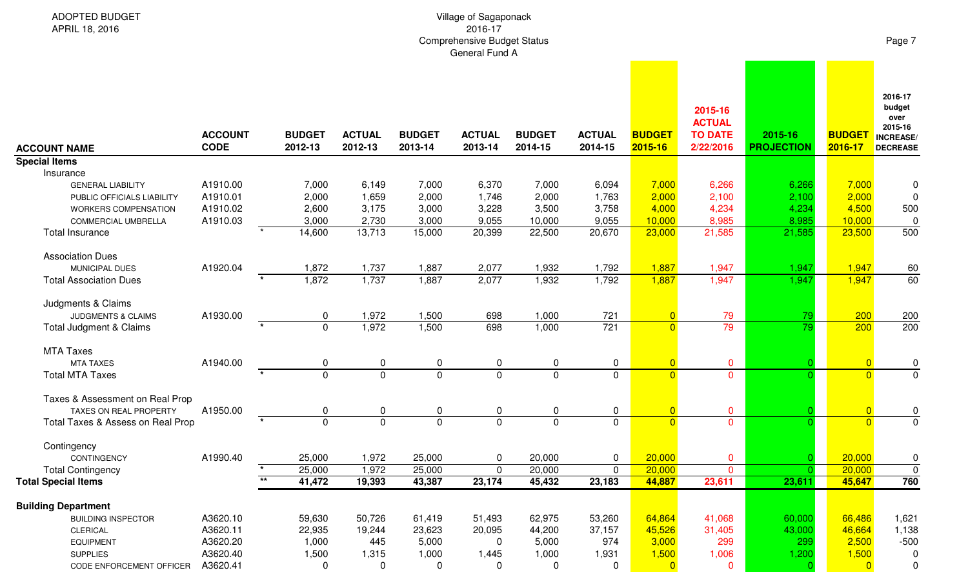| <b>ADOPTED BUDGET</b><br>APRIL 18, 2016                                                                                                             |                                              |                                            | Page 7                                     |                                            |                                            |                                             |                                            |                                             |                                                         |                                            |                                             |                                                                            |
|-----------------------------------------------------------------------------------------------------------------------------------------------------|----------------------------------------------|--------------------------------------------|--------------------------------------------|--------------------------------------------|--------------------------------------------|---------------------------------------------|--------------------------------------------|---------------------------------------------|---------------------------------------------------------|--------------------------------------------|---------------------------------------------|----------------------------------------------------------------------------|
| <b>ACCOUNT NAME</b>                                                                                                                                 | <b>ACCOUNT</b><br><b>CODE</b>                | <b>BUDGET</b><br>2012-13                   | <b>ACTUAL</b><br>2012-13                   | <b>BUDGET</b><br>2013-14                   | <b>ACTUAL</b><br>2013-14                   | <b>BUDGET</b><br>2014-15                    | <b>ACTUAL</b><br>2014-15                   | <b>BUDGET</b><br>2015-16                    | 2015-16<br><b>ACTUAL</b><br><b>TO DATE</b><br>2/22/2016 | 2015-16<br><b>PROJECTION</b>               | <b>BUDGET</b><br>2016-17                    | 2016-17<br>budget<br>over<br>2015-16<br><b>INCREASE</b><br><b>DECREASE</b> |
| <b>Special Items</b>                                                                                                                                |                                              |                                            |                                            |                                            |                                            |                                             |                                            |                                             |                                                         |                                            |                                             |                                                                            |
| Insurance<br><b>GENERAL LIABILITY</b><br>PUBLIC OFFICIALS LIABILITY<br>WORKERS COMPENSATION<br><b>COMMERCIAL UMBRELLA</b><br><b>Total Insurance</b> | A1910.00<br>A1910.01<br>A1910.02<br>A1910.03 | 7,000<br>2,000<br>2,600<br>3,000<br>14,600 | 6,149<br>1,659<br>3,175<br>2,730<br>13,713 | 7,000<br>2,000<br>3,000<br>3,000<br>15,000 | 6,370<br>1,746<br>3,228<br>9,055<br>20,399 | 7,000<br>2,000<br>3,500<br>10,000<br>22,500 | 6,094<br>1,763<br>3,758<br>9,055<br>20,670 | 7,000<br>2,000<br>4,000<br>10,000<br>23,000 | 6,266<br>2,100<br>4,234<br>8,985<br>21,585              | 6,266<br>2,100<br>4,234<br>8,985<br>21,585 | 7,000<br>2,000<br>4,500<br>10,000<br>23,500 | 0<br>0<br>500<br>$\mathbf 0$<br>500                                        |
| <b>Association Dues</b>                                                                                                                             |                                              |                                            |                                            |                                            |                                            |                                             |                                            |                                             |                                                         |                                            |                                             |                                                                            |
| MUNICIPAL DUES                                                                                                                                      | A1920.04                                     | 1,872                                      | 1,737                                      | 1,887                                      | 2,077                                      | 1,932                                       | 1,792                                      | 1,887                                       | 1,947                                                   | 1,947                                      | 1,947                                       | 60                                                                         |
| <b>Total Association Dues</b>                                                                                                                       |                                              | 1,872                                      | 1,737                                      | 1,887                                      | 2,077                                      | 1,932                                       | 1,792                                      | 1,887                                       | 1,947                                                   | 1,947                                      | 1,947                                       | 60                                                                         |
| Judgments & Claims<br><b>JUDGMENTS &amp; CLAIMS</b><br><b>Total Judgment &amp; Claims</b>                                                           | A1930.00<br>$\star$                          | 0<br>$\overline{0}$                        | 1,972<br>1,972                             | 1,500<br>1,500                             | 698<br>698                                 | 1,000<br>1,000                              | 721<br>721                                 | $\overline{0}$<br>$\overline{0}$            | 79<br>79                                                | 79<br>79                                   | 200<br>200                                  | 200<br>200                                                                 |
| <b>MTA Taxes</b>                                                                                                                                    |                                              |                                            |                                            |                                            |                                            |                                             |                                            |                                             |                                                         |                                            |                                             |                                                                            |
| <b>MTA TAXES</b>                                                                                                                                    | A1940.00                                     | 0                                          | 0                                          | $\mathbf 0$                                | 0                                          | 0                                           | $\mathbf 0$                                | $\overline{0}$                              | $\mathbf 0$                                             |                                            | $\overline{0}$                              | $\pmb{0}$                                                                  |
| <b>Total MTA Taxes</b>                                                                                                                              |                                              | $\overline{0}$                             | $\overline{0}$                             | $\mathbf 0$                                | $\mathbf 0$                                | $\mathbf 0$                                 | $\mathbf 0$                                | $\overline{0}$                              | $\mathbf{0}$                                            |                                            | $\overline{0}$                              | $\mathbf 0$                                                                |
| Taxes & Assessment on Real Prop<br>TAXES ON REAL PROPERTY<br>Total Taxes & Assess on Real Prop                                                      | A1950.00                                     | 0<br>$\overline{0}$                        | 0<br>$\overline{0}$                        | 0<br>$\overline{0}$                        | 0<br>$\overline{0}$                        | 0<br>$\overline{0}$                         | $\mathbf 0$<br>$\overline{0}$              | $\overline{0}$<br>$\overline{0}$            | $\mathbf 0$<br>$\mathbf 0$                              |                                            | $\overline{0}$<br>$\overline{0}$            | $\pmb{0}$<br>$\overline{0}$                                                |
| Contingency                                                                                                                                         |                                              |                                            |                                            |                                            |                                            |                                             |                                            |                                             |                                                         |                                            |                                             |                                                                            |
| CONTINGENCY                                                                                                                                         | A1990.40                                     | 25,000                                     | 1,972                                      | 25,000                                     | 0                                          | 20,000                                      | $\mathbf 0$                                | 20,000                                      | $\mathbf 0$                                             | $\Omega$                                   | 20,000                                      | $\pmb{0}$                                                                  |
| <b>Total Contingency</b>                                                                                                                            |                                              | 25,000                                     | 1,972                                      | 25,000                                     | 0                                          | 20,000                                      | $\mathbf 0$                                | 20,000                                      | $\overline{0}$                                          |                                            | 20,000                                      | $\pmb{0}$                                                                  |
| <b>Total Special Items</b>                                                                                                                          | $***$                                        | 41,472                                     | 19,393                                     | 43,387                                     | 23,174                                     | 45,432                                      | 23,183                                     | 44,887                                      | 23,611                                                  | 23,611                                     | 45,647                                      | 760                                                                        |
| <b>Building Department</b>                                                                                                                          |                                              |                                            |                                            |                                            |                                            |                                             |                                            |                                             |                                                         |                                            |                                             |                                                                            |
| <b>BUILDING INSPECTOR</b>                                                                                                                           | A3620.10                                     | 59,630                                     | 50,726                                     | 61,419                                     | 51,493                                     | 62,975                                      | 53,260                                     | 64,864                                      | 41,068                                                  | 60,000                                     | 66,486                                      | 1,621                                                                      |
| <b>CLERICAL</b>                                                                                                                                     | A3620.11                                     | 22,935                                     | 19,244                                     | 23,623                                     | 20,095                                     | 44,200                                      | 37,157                                     | 45,526                                      | 31,405                                                  | 43,000                                     | 46,664                                      | 1,138                                                                      |
| <b>EQUIPMENT</b>                                                                                                                                    | A3620.20                                     | 1,000                                      | 445                                        | 5,000                                      | 0                                          | 5,000                                       | 974                                        | 3,000                                       | 299                                                     | 299                                        | 2,500                                       | $-500$                                                                     |
| <b>SUPPLIES</b><br>CODE ENFORCEMENT OFFICER                                                                                                         | A3620.40<br>A3620.41                         | 1,500<br>0                                 | 1,315<br>$\mathbf 0$                       | 1,000<br>0                                 | 1,445<br>0                                 | 1,000<br>0                                  | 1,931<br>0                                 | 1,500<br>$\overline{0}$                     | 1,006<br>0                                              | 1,200<br>C                                 | 1,500<br>$\overline{0}$                     | 0<br>0                                                                     |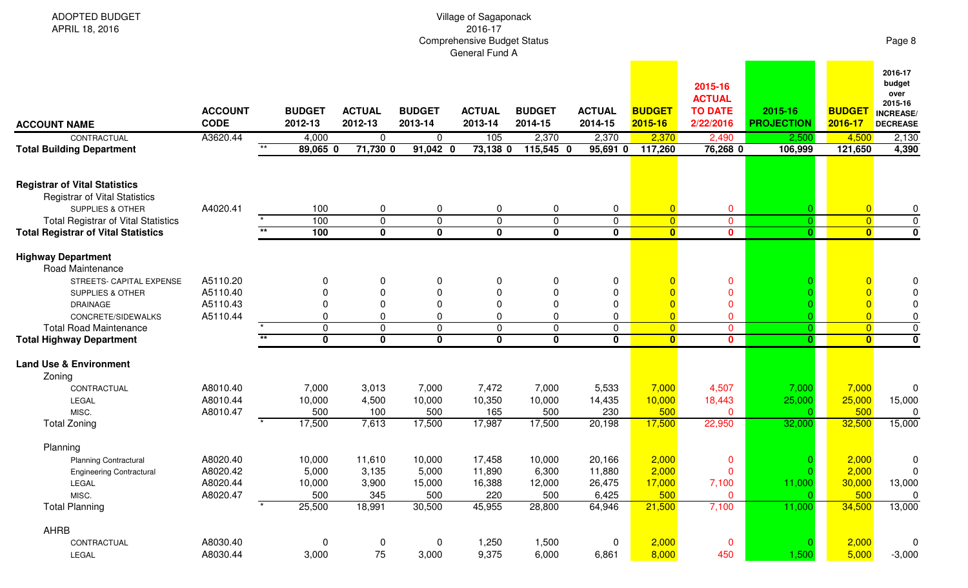| <b>ADOPTED BUDGET</b><br>APRIL 18, 2016                                                                     | Village of Sagaponack<br>2016-17<br><b>Comprehensive Budget Status</b><br>General Fund A |                   |                          |                             |                          |                          |                            |                          |                          |                                                         |                              |                          |                                                                             |  |
|-------------------------------------------------------------------------------------------------------------|------------------------------------------------------------------------------------------|-------------------|--------------------------|-----------------------------|--------------------------|--------------------------|----------------------------|--------------------------|--------------------------|---------------------------------------------------------|------------------------------|--------------------------|-----------------------------------------------------------------------------|--|
| <b>ACCOUNT NAME</b>                                                                                         | <b>ACCOUNT</b><br><b>CODE</b>                                                            |                   | <b>BUDGET</b><br>2012-13 | <b>ACTUAL</b><br>2012-13    | <b>BUDGET</b><br>2013-14 | <b>ACTUAL</b><br>2013-14 | <b>BUDGET</b><br>2014-15   | <b>ACTUAL</b><br>2014-15 | <b>BUDGET</b><br>2015-16 | 2015-16<br><b>ACTUAL</b><br><b>TO DATE</b><br>2/22/2016 | 2015-16<br><b>PROJECTION</b> | <b>BUDGET</b><br>2016-17 | 2016-17<br>budget<br>over<br>2015-16<br><b>INCREASE/</b><br><b>DECREASE</b> |  |
| CONTRACTUAL                                                                                                 | A3620.44                                                                                 | $**$              | 4,000                    | $\mathbf 0$                 | $\mathbf 0$              | 105                      | 2,370                      | 2,370                    | 2,370                    | 2,490                                                   | 2,500                        | 4,500                    | 2,130                                                                       |  |
| <b>Total Building Department</b>                                                                            |                                                                                          |                   | 89,065 0                 | $71,730$ 0                  | $91,042$ 0               | 73,138 0                 | 115,545 0                  | $95,691$ 0               | 117,260                  | 76,268 0                                                | 106,999                      | 121,650                  | 4,390                                                                       |  |
| <b>Registrar of Vital Statistics</b><br><b>Registrar of Vital Statistics</b><br><b>SUPPLIES &amp; OTHER</b> | A4020.41                                                                                 |                   | 100                      | $\mathbf 0$                 | 0                        | 0                        | 0                          | 0                        | $\overline{0}$           | $\mathbf 0$                                             |                              | $\overline{0}$           | 0                                                                           |  |
| <b>Total Registrar of Vital Statistics</b>                                                                  |                                                                                          |                   | 100                      | $\mathbf 0$                 | $\mathbf{0}$             | 0                        | $\mathbf 0$                | $\mathbf 0$              | $\overline{0}$           | $\mathbf 0$                                             |                              | $\overline{0}$           | $\mathbf 0$                                                                 |  |
| <b>Total Registrar of Vital Statistics</b>                                                                  |                                                                                          | $\overline{\ast}$ | 100                      | $\overline{\mathbf{0}}$     | $\mathbf 0$              | $\mathbf 0$              | $\overline{\mathbf{0}}$    | $\overline{\mathbf{0}}$  | $\overline{\mathbf{0}}$  | $\mathbf 0$                                             | $\mathbf{0}$                 | $\overline{\mathbf{0}}$  | $\overline{\mathbf{0}}$                                                     |  |
| <b>Highway Department</b><br>Road Maintenance                                                               |                                                                                          |                   |                          |                             |                          |                          |                            |                          |                          |                                                         |                              |                          |                                                                             |  |
| STREETS- CAPITAL EXPENSE                                                                                    | A5110.20                                                                                 |                   | 0                        | $\Omega$                    | 0                        | 0                        | 0                          | 0                        |                          | $\mathbf 0$                                             |                              |                          | 0                                                                           |  |
| <b>SUPPLIES &amp; OTHER</b>                                                                                 | A5110.40                                                                                 |                   | 0                        | $\Omega$                    | 0                        | $\Omega$                 | $\Omega$                   | 0                        |                          | $\mathbf 0$                                             |                              |                          | 0                                                                           |  |
| <b>DRAINAGE</b><br>CONCRETE/SIDEWALKS                                                                       | A5110.43<br>A5110.44                                                                     |                   | 0<br>0                   | $\mathbf{0}$<br>$\mathbf 0$ | ∩<br>$\Omega$            | $\Omega$<br>0            | $\mathbf 0$<br>$\mathbf 0$ | 0<br>0                   | $\overline{0}$           | $\mathbf 0$<br>$\mathbf 0$                              |                              | $\overline{0}$           | $\mathbf 0$<br>$\pmb{0}$                                                    |  |
| <b>Total Road Maintenance</b>                                                                               |                                                                                          |                   | $\mathbf 0$              | $\mathbf 0$                 | $\mathbf 0$              | 0                        | $\pmb{0}$                  | $\mathbf 0$              | $\overline{0}$           | $\mathbf{0}$                                            | $\Omega$                     | $\overline{0}$           | $\overline{0}$                                                              |  |
| <b>Total Highway Department</b>                                                                             |                                                                                          | $\star\star$      | $\mathbf 0$              | $\mathbf 0$                 | $\mathbf 0$              | 0                        | $\mathbf 0$                | $\mathbf{0}$             | $\overline{\mathbf{0}}$  | $\mathbf{0}$                                            | $\mathbf{0}$                 | $\mathbf{0}$             | $\overline{\mathbf{0}}$                                                     |  |
| <b>Land Use &amp; Environment</b><br>Zoning                                                                 |                                                                                          |                   |                          |                             |                          |                          |                            |                          |                          |                                                         |                              |                          |                                                                             |  |
| CONTRACTUAL                                                                                                 | A8010.40                                                                                 |                   | 7,000                    | 3,013                       | 7,000                    | 7,472                    | 7,000                      | 5,533                    | 7,000                    | 4,507                                                   | 7,000                        | 7,000                    | $\Omega$                                                                    |  |
| LEGAL                                                                                                       | A8010.44                                                                                 |                   | 10,000                   | 4,500                       | 10,000                   | 10,350                   | 10,000                     | 14,435                   | 10,000                   | 18,443                                                  | 25,000                       | 25,000                   | 15,000                                                                      |  |
| MISC.                                                                                                       | A8010.47                                                                                 |                   | 500                      | 100                         | 500                      | 165                      | 500                        | 230                      | 500                      | $\mathbf 0$                                             |                              | 500                      |                                                                             |  |
| <b>Total Zoning</b>                                                                                         |                                                                                          |                   | 17,500                   | 7,613                       | 17,500                   | 17,987                   | 17,500                     | 20,198                   | 17,500                   | 22,950                                                  | 32,000                       | 32,500                   | 15,000                                                                      |  |
| Planning                                                                                                    |                                                                                          |                   |                          |                             |                          |                          |                            |                          |                          |                                                         |                              |                          |                                                                             |  |
| <b>Planning Contractural</b>                                                                                | A8020.40                                                                                 |                   | 10,000                   | 11,610                      | 10,000                   | 17,458                   | 10,000                     | 20,166                   | 2,000                    | $\mathbf 0$                                             |                              | 2,000                    | $\mathbf 0$                                                                 |  |
| <b>Engineering Contractural</b>                                                                             | A8020.42                                                                                 |                   | 5,000                    | 3,135                       | 5,000                    | 11,890                   | 6,300                      | 11,880                   | 2,000                    | $\mathbf 0$                                             |                              | 2,000                    | $\overline{0}$                                                              |  |
| LEGAL                                                                                                       | A8020.44                                                                                 |                   | 10,000                   | 3,900                       | 15,000                   | 16,388                   | 12,000                     | 26,475                   | 17,000                   | 7,100                                                   | 11,000                       | 30,000                   | 13,000                                                                      |  |
| MISC.<br><b>Total Planning</b>                                                                              | A8020.47                                                                                 |                   | 500                      | 345<br>18,991               | 500<br>30,500            | 220<br>45,955            | 500<br>28,800              | 6,425<br>64,946          | 500<br>21,500            | $\overline{0}$<br>7,100                                 |                              | 500<br>34,500            | 0<br>13,000                                                                 |  |
|                                                                                                             |                                                                                          |                   | 25,500                   |                             |                          |                          |                            |                          |                          |                                                         | 11,000                       |                          |                                                                             |  |
| AHRB                                                                                                        |                                                                                          |                   |                          |                             |                          |                          |                            |                          |                          |                                                         |                              |                          |                                                                             |  |
| CONTRACTUAL                                                                                                 | A8030.40                                                                                 |                   | 0                        | $\mathbf 0$                 | $\mathbf 0$              | 1,250                    | 1,500                      | $\mathbf 0$              | 2,000                    | $\bf{0}$                                                |                              | 2,000                    | $\overline{0}$                                                              |  |
| LEGAL                                                                                                       | A8030.44                                                                                 |                   | 3,000                    | 75                          | 3,000                    | 9,375                    | 6,000                      | 6,861                    | 8,000                    | 450                                                     | 1,500                        | 5,000                    | $-3,000$                                                                    |  |